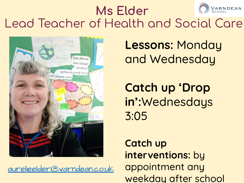

#### **Ms Elder** Lead Teacher of Health and Social Care



[aurelieelder@varndean.co.uk](mailto:aurelieelder@varndean.co.uk)

**Lessons:** Monday and Wednesday

**Catch up 'Drop in':**Wednesdays 3:05

**Catch up interventions:** by appointment any weekday after school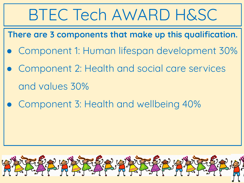## BTEC Tech AWARD H&SC

**There are 3 components that make up this qualification.** 

- Component 1: Human lifespan development 30%
- Component 2: Health and social care services and values 30%
- Component 3: Health and wellbeing 40%

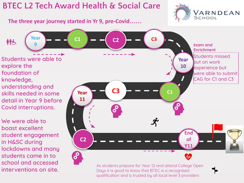#### **BTEC L2 Tech Award Health & Social Care**

**students came in to** 

**school and accessed** 

**interventions on site.** 



**The three year journey started in Yr 9, pre-Covid…… Year C1 C3 C2 郁心 9 Exam and Enrichment** Students missed **Students were able to Year**  out on work **explore the 10** experience but **foundation of**  were able to submit CAG for C1 and C3 **knowledge, understanding and C3 C1 skills needed in some Year 11 detail in Year 9 before Covid interruptions. We were able to boast excellent 11 End student engagement C2of in H&SC during Y11 lockdowns and many** 

> As students prepare for Year 12 and attend College Open Days it is good to know that BTEC is a recognised qualification and is trusted by all local level 3 providers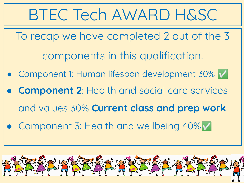

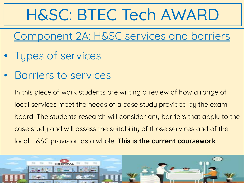# H&SC: BTEC Tech AWARD

#### Component 2A: H&SC services and barriers

- Types of services
- Barriers to services

In this piece of work students are writing a review of how a range of local services meet the needs of a case study provided by the exam board. The students research will consider any barriers that apply to the case study and will assess the suitability of those services and of the local H&SC provision as a whole. **This is the current coursework**